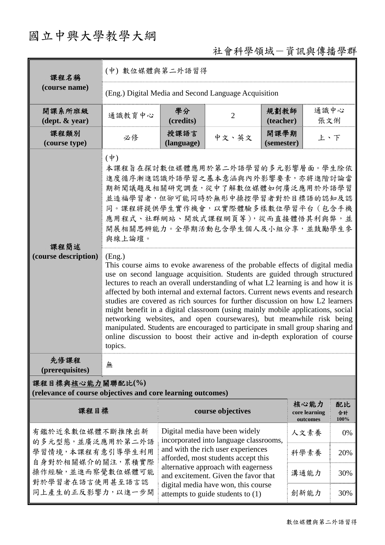## 國立中興大學教學大綱

## 社會科學領域-資訊與傳播學群

| 課程名稱                                                                            | (中) 數位媒體與第二外語習得                                                                                                                                                                                                                                                                                                                                                                                                                                                                                                                                                                                                                                                                                                                                                                                                                                                                                                                                                                                                                                        |                    |                                                                             |                    |                                   |                  |  |  |
|---------------------------------------------------------------------------------|--------------------------------------------------------------------------------------------------------------------------------------------------------------------------------------------------------------------------------------------------------------------------------------------------------------------------------------------------------------------------------------------------------------------------------------------------------------------------------------------------------------------------------------------------------------------------------------------------------------------------------------------------------------------------------------------------------------------------------------------------------------------------------------------------------------------------------------------------------------------------------------------------------------------------------------------------------------------------------------------------------------------------------------------------------|--------------------|-----------------------------------------------------------------------------|--------------------|-----------------------------------|------------------|--|--|
| (course name)                                                                   | (Eng.) Digital Media and Second Language Acquisition                                                                                                                                                                                                                                                                                                                                                                                                                                                                                                                                                                                                                                                                                                                                                                                                                                                                                                                                                                                                   |                    |                                                                             |                    |                                   |                  |  |  |
| 開課系所班級<br>$(\text{dept.} \& \text{ year})$                                      | 通識教育中心                                                                                                                                                                                                                                                                                                                                                                                                                                                                                                                                                                                                                                                                                                                                                                                                                                                                                                                                                                                                                                                 | 學分<br>(credits)    | $\overline{2}$                                                              | 規劃教師<br>(teacher)  | 通識中心<br>張文俐                       |                  |  |  |
| 課程類別<br>(course type)                                                           | 必修                                                                                                                                                                                                                                                                                                                                                                                                                                                                                                                                                                                                                                                                                                                                                                                                                                                                                                                                                                                                                                                     | 授課語言<br>(language) | 中文、英文                                                                       | 開課學期<br>(semester) | 上、下                               |                  |  |  |
| 課程簡述<br>(course description)                                                    | $(\dagger)$<br>本課程旨在探討數位媒體應用於第二外語學習的多元影響層面。學生除依<br>進度循序漸進認識外語學習之基本意涵與內外影響要素,亦將進階討論當<br>期新聞議題及相關研究調查,從中了解數位媒體如何廣泛應用於外語學習<br>並造福學習者,但卻可能同時於無形中操控學習者對於目標語的認知及認<br>同。課程將提供學生實作機會,以實際體驗多樣數位學習平台(包含手機<br>應用程式、社群網站、開放式課程網頁等),從而直接體悟其利與弊,並<br>開展相關思辨能力。全學期活動包含學生個人及小組分享,並鼓勵學生參<br>與線上論壇。<br>(Eng.)<br>This course aims to evoke awareness of the probable effects of digital media<br>use on second language acquisition. Students are guided through structured<br>lectures to reach an overall understanding of what L2 learning is and how it is<br>affected by both internal and external factors. Current news events and research<br>studies are covered as rich sources for further discussion on how L2 learners<br>might benefit in a digital classroom (using mainly mobile applications, social<br>networking websites, and open coursewares), but meanwhile risk being<br>manipulated. Students are encouraged to participate in small group sharing and<br>online discussion to boost their active and in-depth exploration of course<br>topics. |                    |                                                                             |                    |                                   |                  |  |  |
| 先修課程<br>(prerequisites)                                                         | 無                                                                                                                                                                                                                                                                                                                                                                                                                                                                                                                                                                                                                                                                                                                                                                                                                                                                                                                                                                                                                                                      |                    |                                                                             |                    |                                   |                  |  |  |
| 課程目標與核心能力關聯配比(%)<br>(relevance of course objectives and core learning outcomes) |                                                                                                                                                                                                                                                                                                                                                                                                                                                                                                                                                                                                                                                                                                                                                                                                                                                                                                                                                                                                                                                        |                    |                                                                             |                    |                                   |                  |  |  |
| 課程目標                                                                            |                                                                                                                                                                                                                                                                                                                                                                                                                                                                                                                                                                                                                                                                                                                                                                                                                                                                                                                                                                                                                                                        |                    | course objectives                                                           |                    | 核心能力<br>core learning<br>outcomes | 配比<br>合計<br>100% |  |  |
| 有鑑於近來數位媒體不斷推陳出新<br>的多元型態,並廣泛應用於第二外語                                             |                                                                                                                                                                                                                                                                                                                                                                                                                                                                                                                                                                                                                                                                                                                                                                                                                                                                                                                                                                                                                                                        |                    | Digital media have been widely<br>incorporated into language classrooms,    |                    | 人文素養                              | 0%               |  |  |
| 學習情境,本課程有意引導學生利用<br>自身對於相關媒介的關注,累積實際                                            |                                                                                                                                                                                                                                                                                                                                                                                                                                                                                                                                                                                                                                                                                                                                                                                                                                                                                                                                                                                                                                                        |                    | and with the rich user experiences<br>afforded, most students accept this   |                    | 科學素養                              | 20%              |  |  |
| 操作經驗,並進而察覺數位媒體可能<br>對於學習者在語言使用甚至語言認                                             |                                                                                                                                                                                                                                                                                                                                                                                                                                                                                                                                                                                                                                                                                                                                                                                                                                                                                                                                                                                                                                                        |                    | alternative approach with eagerness<br>and excitement. Given the favor that |                    | 溝通能力                              | 30%              |  |  |
| 同上產生的正反影響力,以進一步開                                                                |                                                                                                                                                                                                                                                                                                                                                                                                                                                                                                                                                                                                                                                                                                                                                                                                                                                                                                                                                                                                                                                        |                    | digital media have won, this course<br>attempts to guide students to $(1)$  |                    | 創新能力                              | 30%              |  |  |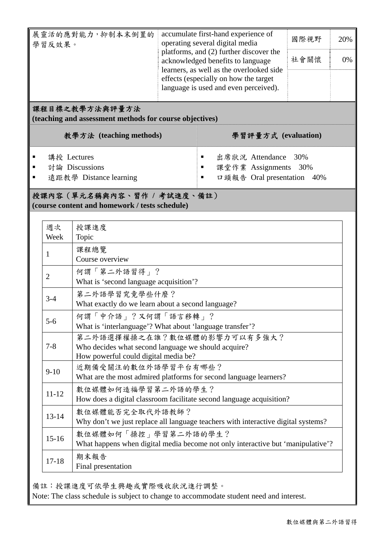| 展靈活的應對能力,抑制本末倒置的<br>學習反效果。                              |            |                                                                                                      | accumulate first-hand experience of<br>operating several digital media<br>platforms, and (2) further discover the<br>acknowledged benefits to language<br>learners, as well as the overlooked side<br>effects (especially on how the target<br>language is used and even perceived). |                     | 20%<br>0% |  |
|---------------------------------------------------------|------------|------------------------------------------------------------------------------------------------------|--------------------------------------------------------------------------------------------------------------------------------------------------------------------------------------------------------------------------------------------------------------------------------------|---------------------|-----------|--|
|                                                         |            | 課程目標之教學方法與評量方法<br>(teaching and assessment methods for course objectives)<br>教學方法 (teaching methods) |                                                                                                                                                                                                                                                                                      | 學習評量方式 (evaluation) |           |  |
| 講授 Lectures<br>討論 Discussions<br>遠距教學 Distance learning |            | 出席狀況 Attendance 30%<br>٠<br>課堂作業 Assignments 30%<br>$\blacksquare$<br>口頭報告 Oral presentation 40%     |                                                                                                                                                                                                                                                                                      |                     |           |  |
|                                                         |            | 授課內容 (單元名稱與內容、習作 / 考試進度、備註)<br>(course content and homework / tests schedule)                        |                                                                                                                                                                                                                                                                                      |                     |           |  |
|                                                         | 週次<br>Week | 授課進度<br>Topic                                                                                        |                                                                                                                                                                                                                                                                                      |                     |           |  |
|                                                         | 1          | 課程總覽<br>Course overview                                                                              |                                                                                                                                                                                                                                                                                      |                     |           |  |
|                                                         | 2          | 何謂「第二外語習得」?<br>What is 'second language acquisition'?                                                |                                                                                                                                                                                                                                                                                      |                     |           |  |

|                | 1"」(明) 为 — 21` 11ī 白 付 丨 【                                                        |
|----------------|-----------------------------------------------------------------------------------|
| $\overline{2}$ | What is 'second language acquisition'?                                            |
| $3-4$          | 第二外語學習究竟學些什麼?                                                                     |
|                | What exactly do we learn about a second language?                                 |
| $5-6$          | 何謂「中介語」?又何謂「語言移轉」?                                                                |
|                | What is 'interlanguage'? What about 'language transfer'?                          |
| $7 - 8$        | 第二外語選擇權操之在誰?數位媒體的影響力可以有多強大?                                                       |
|                | Who decides what second language we should acquire?                               |
|                | How powerful could digital media be?                                              |
| $9-10$         | 近期備受關注的數位外語學習平台有哪些?                                                               |
|                | What are the most admired platforms for second language learners?                 |
| $11 - 12$      | 數位媒體如何造福學習第二外語的學生?                                                                |
|                | How does a digital classroom facilitate second language acquisition?              |
| $13 - 14$      | 數位媒體能否完全取代外語教師?                                                                   |
|                | Why don't we just replace all language teachers with interactive digital systems? |
| $15 - 16$      | 數位媒體如何「操控」學習第二外語的學生?                                                              |
|                | What happens when digital media become not only interactive but 'manipulative'?   |
| $17 - 18$      | 期末報告                                                                              |
|                | Final presentation                                                                |

備註:授課進度可依學生興趣或實際吸收狀況進行調整。

Note: The class schedule is subject to change to accommodate student need and interest.